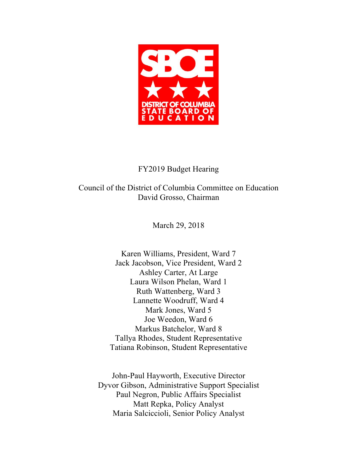

## FY2019 Budget Hearing

Council of the District of Columbia Committee on Education David Grosso, Chairman

March 29, 2018

Karen Williams, President, Ward 7 Jack Jacobson, Vice President, Ward 2 Ashley Carter, At Large Laura Wilson Phelan, Ward 1 Ruth Wattenberg, Ward 3 Lannette Woodruff, Ward 4 Mark Jones, Ward 5 Joe Weedon, Ward 6 Markus Batchelor, Ward 8 Tallya Rhodes, Student Representative Tatiana Robinson, Student Representative

John-Paul Hayworth, Executive Director Dyvor Gibson, Administrative Support Specialist Paul Negron, Public Affairs Specialist Matt Repka, Policy Analyst Maria Salciccioli, Senior Policy Analyst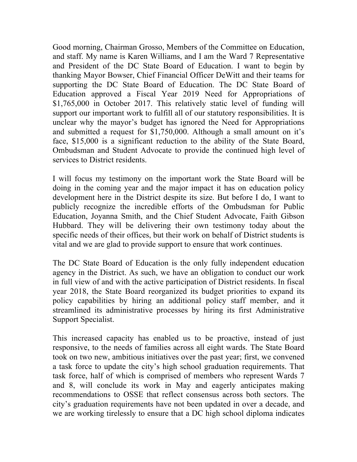Good morning, Chairman Grosso, Members of the Committee on Education, and staff. My name is Karen Williams, and I am the Ward 7 Representative and President of the DC State Board of Education. I want to begin by thanking Mayor Bowser, Chief Financial Officer DeWitt and their teams for supporting the DC State Board of Education. The DC State Board of Education approved a Fiscal Year 2019 Need for Appropriations of \$1,765,000 in October 2017. This relatively static level of funding will support our important work to fulfill all of our statutory responsibilities. It is unclear why the mayor's budget has ignored the Need for Appropriations and submitted a request for \$1,750,000. Although a small amount on it's face, \$15,000 is a significant reduction to the ability of the State Board, Ombudsman and Student Advocate to provide the continued high level of services to District residents.

I will focus my testimony on the important work the State Board will be doing in the coming year and the major impact it has on education policy development here in the District despite its size. But before I do, I want to publicly recognize the incredible efforts of the Ombudsman for Public Education, Joyanna Smith, and the Chief Student Advocate, Faith Gibson Hubbard. They will be delivering their own testimony today about the specific needs of their offices, but their work on behalf of District students is vital and we are glad to provide support to ensure that work continues.

The DC State Board of Education is the only fully independent education agency in the District. As such, we have an obligation to conduct our work in full view of and with the active participation of District residents. In fiscal year 2018, the State Board reorganized its budget priorities to expand its policy capabilities by hiring an additional policy staff member, and it streamlined its administrative processes by hiring its first Administrative Support Specialist.

This increased capacity has enabled us to be proactive, instead of just responsive, to the needs of families across all eight wards. The State Board took on two new, ambitious initiatives over the past year; first, we convened a task force to update the city's high school graduation requirements. That task force, half of which is comprised of members who represent Wards 7 and 8, will conclude its work in May and eagerly anticipates making recommendations to OSSE that reflect consensus across both sectors. The city's graduation requirements have not been updated in over a decade, and we are working tirelessly to ensure that a DC high school diploma indicates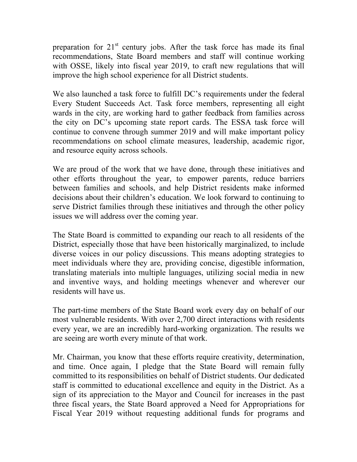preparation for  $21<sup>st</sup>$  century jobs. After the task force has made its final recommendations, State Board members and staff will continue working with OSSE, likely into fiscal year 2019, to craft new regulations that will improve the high school experience for all District students.

We also launched a task force to fulfill DC's requirements under the federal Every Student Succeeds Act. Task force members, representing all eight wards in the city, are working hard to gather feedback from families across the city on DC's upcoming state report cards. The ESSA task force will continue to convene through summer 2019 and will make important policy recommendations on school climate measures, leadership, academic rigor, and resource equity across schools.

We are proud of the work that we have done, through these initiatives and other efforts throughout the year, to empower parents, reduce barriers between families and schools, and help District residents make informed decisions about their children's education. We look forward to continuing to serve District families through these initiatives and through the other policy issues we will address over the coming year.

The State Board is committed to expanding our reach to all residents of the District, especially those that have been historically marginalized, to include diverse voices in our policy discussions. This means adopting strategies to meet individuals where they are, providing concise, digestible information, translating materials into multiple languages, utilizing social media in new and inventive ways, and holding meetings whenever and wherever our residents will have us.

The part-time members of the State Board work every day on behalf of our most vulnerable residents. With over 2,700 direct interactions with residents every year, we are an incredibly hard-working organization. The results we are seeing are worth every minute of that work.

Mr. Chairman, you know that these efforts require creativity, determination, and time. Once again, I pledge that the State Board will remain fully committed to its responsibilities on behalf of District students. Our dedicated staff is committed to educational excellence and equity in the District. As a sign of its appreciation to the Mayor and Council for increases in the past three fiscal years, the State Board approved a Need for Appropriations for Fiscal Year 2019 without requesting additional funds for programs and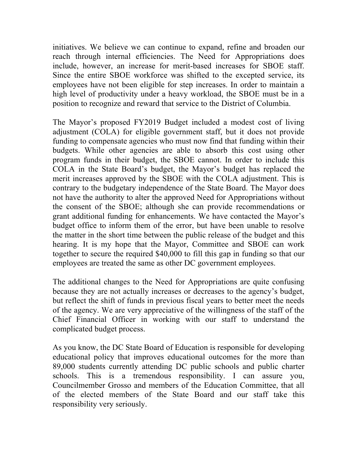initiatives. We believe we can continue to expand, refine and broaden our reach through internal efficiencies. The Need for Appropriations does include, however, an increase for merit-based increases for SBOE staff. Since the entire SBOE workforce was shifted to the excepted service, its employees have not been eligible for step increases. In order to maintain a high level of productivity under a heavy workload, the SBOE must be in a position to recognize and reward that service to the District of Columbia.

The Mayor's proposed FY2019 Budget included a modest cost of living adjustment (COLA) for eligible government staff, but it does not provide funding to compensate agencies who must now find that funding within their budgets. While other agencies are able to absorb this cost using other program funds in their budget, the SBOE cannot. In order to include this COLA in the State Board's budget, the Mayor's budget has replaced the merit increases approved by the SBOE with the COLA adjustment. This is contrary to the budgetary independence of the State Board. The Mayor does not have the authority to alter the approved Need for Appropriations without the consent of the SBOE; although she can provide recommendations or grant additional funding for enhancements. We have contacted the Mayor's budget office to inform them of the error, but have been unable to resolve the matter in the short time between the public release of the budget and this hearing. It is my hope that the Mayor, Committee and SBOE can work together to secure the required \$40,000 to fill this gap in funding so that our employees are treated the same as other DC government employees.

The additional changes to the Need for Appropriations are quite confusing because they are not actually increases or decreases to the agency's budget, but reflect the shift of funds in previous fiscal years to better meet the needs of the agency. We are very appreciative of the willingness of the staff of the Chief Financial Officer in working with our staff to understand the complicated budget process.

As you know, the DC State Board of Education is responsible for developing educational policy that improves educational outcomes for the more than 89,000 students currently attending DC public schools and public charter schools. This is a tremendous responsibility. I can assure you, Councilmember Grosso and members of the Education Committee, that all of the elected members of the State Board and our staff take this responsibility very seriously.